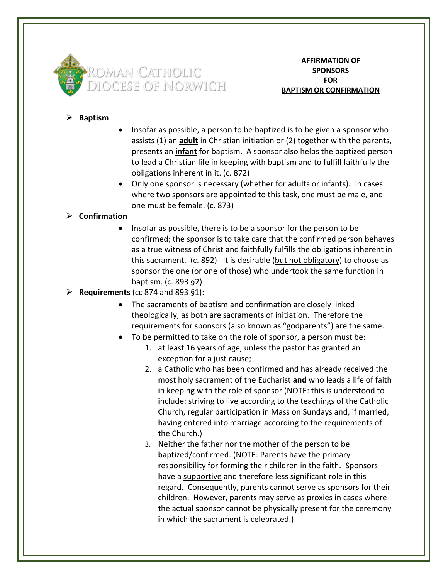

**AFFIRMATION OF SPONSORS FOR BAPTISM OR CONFIRMATION**

## ➢ **Baptism**

- Insofar as possible, a person to be baptized is to be given a sponsor who assists (1) an **adult** in Christian initiation or (2) together with the parents, presents an **infant** for baptism. A sponsor also helps the baptized person to lead a Christian life in keeping with baptism and to fulfill faithfully the obligations inherent in it. (c. 872)
- Only one sponsor is necessary (whether for adults or infants). In cases where two sponsors are appointed to this task, one must be male, and one must be female. (c. 873)

## ➢ **Confirmation**

- Insofar as possible, there is to be a sponsor for the person to be confirmed; the sponsor is to take care that the confirmed person behaves as a true witness of Christ and faithfully fulfills the obligations inherent in this sacrament. (c. 892) It is desirable (but not obligatory) to choose as sponsor the one (or one of those) who undertook the same function in baptism. (c. 893 §2)
- ➢ **Requirements** (cc 874 and 893 §1):
	- The sacraments of baptism and confirmation are closely linked theologically, as both are sacraments of initiation. Therefore the requirements for sponsors (also known as "godparents") are the same.
	- To be permitted to take on the role of sponsor, a person must be:
		- 1. at least 16 years of age, unless the pastor has granted an exception for a just cause;
		- 2. a Catholic who has been confirmed and has already received the most holy sacrament of the Eucharist **and** who leads a life of faith in keeping with the role of sponsor (NOTE: this is understood to include: striving to live according to the teachings of the Catholic Church, regular participation in Mass on Sundays and, if married, having entered into marriage according to the requirements of the Church.)
		- 3. Neither the father nor the mother of the person to be baptized/confirmed. (NOTE: Parents have the primary responsibility for forming their children in the faith. Sponsors have a supportive and therefore less significant role in this regard. Consequently, parents cannot serve as sponsors for their children. However, parents may serve as proxies in cases where the actual sponsor cannot be physically present for the ceremony in which the sacrament is celebrated.)